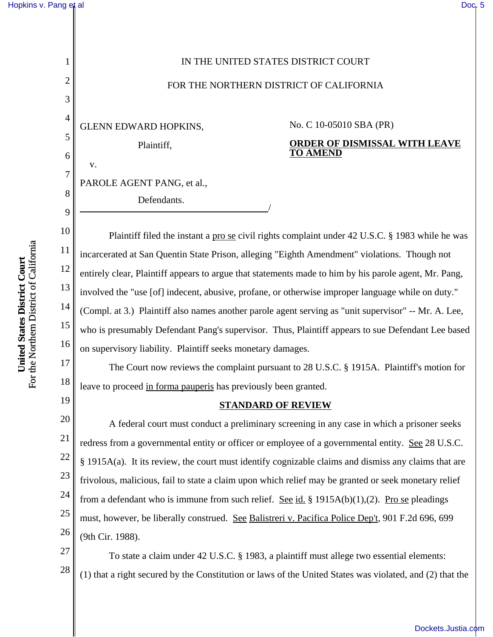## [Hopkins v. Pang et al](http://dockets.justia.com/docket/california/candce/4:2010cv05010/233907/) [Doc. 5](http://docs.justia.com/cases/federal/district-courts/california/candce/4:2010cv05010/233907/5/)

1

2 3 4 GLENN EDWARD HOPKINS, 5 6 v. 7 8 9 10 For the Northern District of California For the Northern District of California 11 United States District Court **United States District Court** 12 13 14 15 16 17 18

19

20

21

22

23

24

25

26

Plaintiff, PAROLE AGENT PANG, et al., Defendants. No. C 10-05010 SBA (PR) **ORDER OF DISMISSAL WITH LEAVE TO AMEND** Plaintiff filed the instant a pro se civil rights complaint under 42 U.S.C. § 1983 while he was incarcerated at San Quentin State Prison, alleging "Eighth Amendment" violations. Though not entirely clear, Plaintiff appears to argue that statements made to him by his parole agent, Mr. Pang, involved the "use [of] indecent, abusive, profane, or otherwise improper language while on duty." (Compl. at 3.) Plaintiff also names another parole agent serving as "unit supervisor" -- Mr. A. Lee, who is presumably Defendant Pang's supervisor. Thus, Plaintiff appears to sue Defendant Lee based on supervisory liability. Plaintiff seeks monetary damages. The Court now reviews the complaint pursuant to 28 U.S.C. § 1915A. Plaintiff's motion for leave to proceed in forma pauperis has previously been granted. **STANDARD OF REVIEW** A federal court must conduct a preliminary screening in any case in which a prisoner seeks redress from a governmental entity or officer or employee of a governmental entity. See 28 U.S.C. § 1915A(a). It its review, the court must identify cognizable claims and dismiss any claims that are frivolous, malicious, fail to state a claim upon which relief may be granted or seek monetary relief from a defendant who is immune from such relief. See id. § 1915A(b)(1),(2). Pro se pleadings must, however, be liberally construed. See Balistreri v. Pacifica Police Dep't, 901 F.2d 696, 699 (9th Cir. 1988). To state a claim under 42 U.S.C. § 1983, a plaintiff must allege two essential elements:

IN THE UNITED STATES DISTRICT COURT

FOR THE NORTHERN DISTRICT OF CALIFORNIA

27 28 (1) that a right secured by the Constitution or laws of the United States was violated, and (2) that the

[Dockets.Justia.com](http://dockets.justia.com/)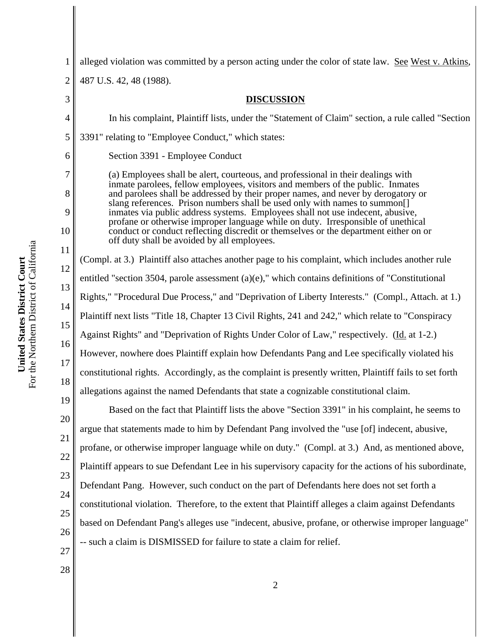28

1 2 3 4 5 6 7 8 9 10 11 12 13 14 15 16 17 18 19 20 21 22 23 24 25 26 27 alleged violation was committed by a person acting under the color of state law. See West v. Atkins, 487 U.S. 42, 48 (1988). **DISCUSSION** In his complaint, Plaintiff lists, under the "Statement of Claim" section, a rule called "Section 3391" relating to "Employee Conduct," which states: Section 3391 - Employee Conduct (a) Employees shall be alert, courteous, and professional in their dealings with inmate parolees, fellow employees, visitors and members of the public. Inmates and parolees shall be addressed by their proper names, and never by derogatory or slang references. Prison numbers shall be used only with names to summon[] inmates via public address systems. Employees shall not use indecent, abusive, profane or otherwise improper language while on duty. Irresponsible of unethical conduct or conduct reflecting discredit or themselves or the department either on or off duty shall be avoided by all employees. (Compl. at 3.) Plaintiff also attaches another page to his complaint, which includes another rule entitled "section 3504, parole assessment (a)(e)," which contains definitions of "Constitutional Rights," "Procedural Due Process," and "Deprivation of Liberty Interests." (Compl., Attach. at 1.) Plaintiff next lists "Title 18, Chapter 13 Civil Rights, 241 and 242," which relate to "Conspiracy Against Rights" and "Deprivation of Rights Under Color of Law," respectively. (Id. at 1-2.) However, nowhere does Plaintiff explain how Defendants Pang and Lee specifically violated his constitutional rights. Accordingly, as the complaint is presently written, Plaintiff fails to set forth allegations against the named Defendants that state a cognizable constitutional claim. Based on the fact that Plaintiff lists the above "Section 3391" in his complaint, he seems to argue that statements made to him by Defendant Pang involved the "use [of] indecent, abusive, profane, or otherwise improper language while on duty." (Compl. at 3.) And, as mentioned above, Plaintiff appears to sue Defendant Lee in his supervisory capacity for the actions of his subordinate, Defendant Pang. However, such conduct on the part of Defendants here does not set forth a constitutional violation. Therefore, to the extent that Plaintiff alleges a claim against Defendants based on Defendant Pang's alleges use "indecent, abusive, profane, or otherwise improper language" -- such a claim is DISMISSED for failure to state a claim for relief.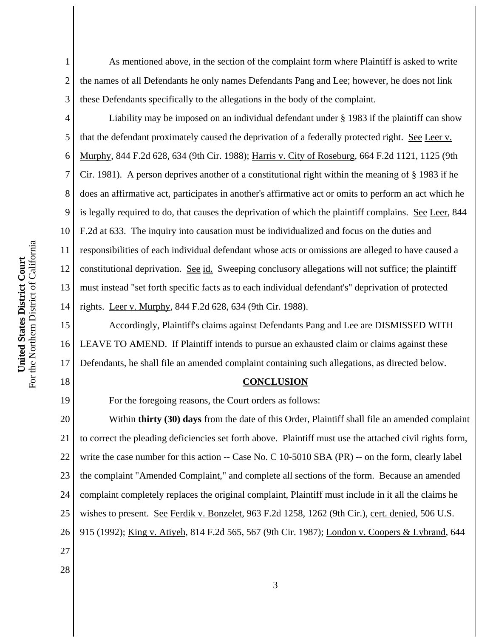As mentioned above, in the section of the complaint form where Plaintiff is asked to write the names of all Defendants he only names Defendants Pang and Lee; however, he does not link these Defendants specifically to the allegations in the body of the complaint.

4 6 8 9 10 12 13 14 Liability may be imposed on an individual defendant under § 1983 if the plaintiff can show that the defendant proximately caused the deprivation of a federally protected right. See Leer v. Murphy, 844 F.2d 628, 634 (9th Cir. 1988); Harris v. City of Roseburg, 664 F.2d 1121, 1125 (9th Cir. 1981). A person deprives another of a constitutional right within the meaning of § 1983 if he does an affirmative act, participates in another's affirmative act or omits to perform an act which he is legally required to do, that causes the deprivation of which the plaintiff complains. See Leer, 844 F.2d at 633. The inquiry into causation must be individualized and focus on the duties and responsibilities of each individual defendant whose acts or omissions are alleged to have caused a constitutional deprivation. See id. Sweeping conclusory allegations will not suffice; the plaintiff must instead "set forth specific facts as to each individual defendant's" deprivation of protected rights. Leer v. Murphy, 844 F.2d 628, 634 (9th Cir. 1988).

15 16 17 Accordingly, Plaintiff's claims against Defendants Pang and Lee are DISMISSED WITH LEAVE TO AMEND. If Plaintiff intends to pursue an exhausted claim or claims against these Defendants, he shall file an amended complaint containing such allegations, as directed below.

## **CONCLUSION**

For the foregoing reasons, the Court orders as follows:

20 21 22 23 24 25 26 27 Within **thirty (30) days** from the date of this Order, Plaintiff shall file an amended complaint to correct the pleading deficiencies set forth above. Plaintiff must use the attached civil rights form, write the case number for this action -- Case No. C 10-5010 SBA (PR) -- on the form, clearly label the complaint "Amended Complaint," and complete all sections of the form. Because an amended complaint completely replaces the original complaint, Plaintiff must include in it all the claims he wishes to present. See Ferdik v. Bonzelet, 963 F.2d 1258, 1262 (9th Cir.), cert. denied, 506 U.S. 915 (1992); King v. Atiyeh, 814 F.2d 565, 567 (9th Cir. 1987); London v. Coopers & Lybrand, 644

For the Northern District of California For the Northern District of California United States District Court **United States District Court**

1

2

3

5

7

11

18

19

28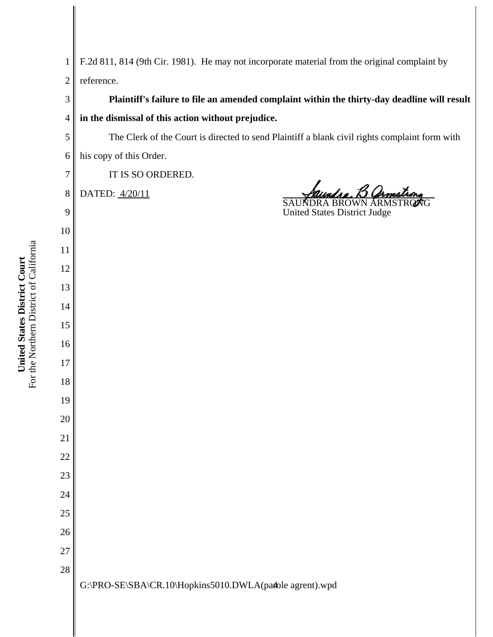For the Northern District of California For the Northern District of California United States District Court **United States District Court**

| The Clerk of the Court is directed to send Plaintiff a blank civil rights complaint form with<br>$\mathfrak s$<br>his copy of this Order.<br>$\boldsymbol{6}$<br>IT IS SO ORDERED.<br>$\boldsymbol{7}$<br>undro, B Ormstro<br>DATED: 4/20/11<br>$8\,$<br><b>INDRA BROWN ARM</b><br><b>SAU</b><br><b>United States District Judge</b><br>9<br>10<br>11<br>12<br>13<br>14<br>15<br>16<br>$17\,$<br>18<br>19<br>20<br>21<br>22<br>23<br>24<br>25<br>26<br>27<br>28<br>G:\PRO-SE\SBA\CR.10\Hopkins5010.DWLA(pafole agrent).wpd |  |
|----------------------------------------------------------------------------------------------------------------------------------------------------------------------------------------------------------------------------------------------------------------------------------------------------------------------------------------------------------------------------------------------------------------------------------------------------------------------------------------------------------------------------|--|
|                                                                                                                                                                                                                                                                                                                                                                                                                                                                                                                            |  |
|                                                                                                                                                                                                                                                                                                                                                                                                                                                                                                                            |  |
|                                                                                                                                                                                                                                                                                                                                                                                                                                                                                                                            |  |
|                                                                                                                                                                                                                                                                                                                                                                                                                                                                                                                            |  |
|                                                                                                                                                                                                                                                                                                                                                                                                                                                                                                                            |  |
|                                                                                                                                                                                                                                                                                                                                                                                                                                                                                                                            |  |
|                                                                                                                                                                                                                                                                                                                                                                                                                                                                                                                            |  |
|                                                                                                                                                                                                                                                                                                                                                                                                                                                                                                                            |  |
|                                                                                                                                                                                                                                                                                                                                                                                                                                                                                                                            |  |
|                                                                                                                                                                                                                                                                                                                                                                                                                                                                                                                            |  |
|                                                                                                                                                                                                                                                                                                                                                                                                                                                                                                                            |  |
|                                                                                                                                                                                                                                                                                                                                                                                                                                                                                                                            |  |
|                                                                                                                                                                                                                                                                                                                                                                                                                                                                                                                            |  |
|                                                                                                                                                                                                                                                                                                                                                                                                                                                                                                                            |  |
|                                                                                                                                                                                                                                                                                                                                                                                                                                                                                                                            |  |
|                                                                                                                                                                                                                                                                                                                                                                                                                                                                                                                            |  |
|                                                                                                                                                                                                                                                                                                                                                                                                                                                                                                                            |  |
|                                                                                                                                                                                                                                                                                                                                                                                                                                                                                                                            |  |
|                                                                                                                                                                                                                                                                                                                                                                                                                                                                                                                            |  |
|                                                                                                                                                                                                                                                                                                                                                                                                                                                                                                                            |  |
|                                                                                                                                                                                                                                                                                                                                                                                                                                                                                                                            |  |
|                                                                                                                                                                                                                                                                                                                                                                                                                                                                                                                            |  |
|                                                                                                                                                                                                                                                                                                                                                                                                                                                                                                                            |  |
|                                                                                                                                                                                                                                                                                                                                                                                                                                                                                                                            |  |
|                                                                                                                                                                                                                                                                                                                                                                                                                                                                                                                            |  |
|                                                                                                                                                                                                                                                                                                                                                                                                                                                                                                                            |  |
|                                                                                                                                                                                                                                                                                                                                                                                                                                                                                                                            |  |
|                                                                                                                                                                                                                                                                                                                                                                                                                                                                                                                            |  |

 F.2d 811, 814 (9th Cir. 1981). He may not incorporate material from the original complaint by reference.

**Plaintiff's failure to file an amended complaint within the thirty-day deadline will result**